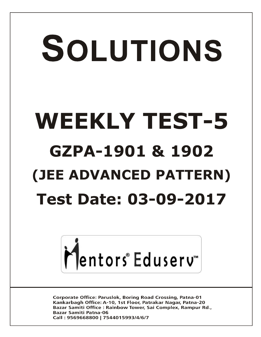# SOLUTIONS **WEEKLY TEST-5 GZPA-1901 & 1902 (JEE ADVANCED PATTERN) Test Date: 03-09-2017**



**Corporate Office: Paruslok, Boring Road Crossing, Patna-01** Kankarbagh Office: A-10, 1st Floor, Patrakar Nagar, Patna-20 Bazar Samiti Office: Rainbow Tower, Sai Complex, Rampur Rd., **Bazar Samiti Patna-06** Call: 9569668800 | 7544015993/4/6/7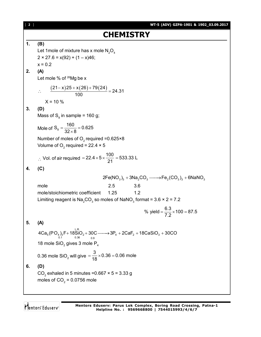| $[2]$ | WT-5 (ADV) GZPA-1901 & 1902_03.09.2017                                                                                                                  |
|-------|---------------------------------------------------------------------------------------------------------------------------------------------------------|
|       | <b>CHEMISTRY</b>                                                                                                                                        |
| 1.    | (B)<br>Let 1 mole of mixture has x mole $N_2O_4$<br>$2 \times 27.6 = x(92) + (1 - x)46;$<br>$x = 0.2$                                                   |
| 2.    | (A)<br>Let mole % of $^{26}$ Mg be x                                                                                                                    |
|       | $\frac{(21-x)25+x(26)+79(24)}{100}$ = 24.31<br>$X = 10 \%$                                                                                              |
| 3.    | (D)<br>Mass of $S_8$ in sample = 160 g;                                                                                                                 |
|       | Mole of $S_8 = \frac{160}{32 \times 8} = 0.625$                                                                                                         |
|       | Number of moles of $O_2$ required =0.625×8<br>Volume of O <sub>2</sub> required = 22.4 $\times$ 5                                                       |
|       | ∴ Vol. of air required = $22.4 \times 5 \times \frac{100}{21} = 533.33$ L                                                                               |
| 4.    | (C)                                                                                                                                                     |
|       | $2Fe(NO_3)_3 + 3Na_2CO_3 \longrightarrow Fe_2(CO_3)_3 + 6NaNO_3$                                                                                        |
|       | 2.5<br>mole<br>3.6                                                                                                                                      |
|       | 1.2<br>mole/stoichiometric coefficient 1.25<br>Limiting reagent is $\text{Na}_2\text{CO}_3$ so moles of NaNO <sub>3</sub> format = 3.6 $\times$ 2 = 7.2 |
|       | % yield = $\frac{6.3}{7.2}$ × 100 = 87.5                                                                                                                |
| 5.    | (A)                                                                                                                                                     |
|       | $4Ca5(PO4)3F + 18SiO2 + 30C \longrightarrow 3P4 + 2CaF2 + 18CaSiO3 + 30CO$                                                                              |
|       | 18 mole $SiO2$ gives 3 mole $P4$                                                                                                                        |
|       | 0.36 mole $\text{SiO}_2$ will give $=\frac{3}{18} \times 0.36 = 0.06$ mole                                                                              |
| 6.    | (D)                                                                                                                                                     |
|       | CO <sub>2</sub> exhaled in 5 minutes = $0.667 \times 5 = 3.33$ g<br>moles of $CO2 = 0.0756$ mole                                                        |
|       |                                                                                                                                                         |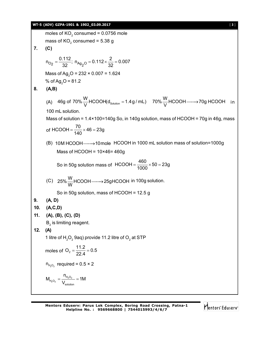#### **WT-5 (ADV) GZPA-1901 & 1902\_03.09.2017** [ **3** ]

moles of KO<sub>2</sub> consumed = 0.0756 mole  
\nmass of KO<sub>2</sub> consumed = 5.38 g  
\n**7.** (C)  
\n
$$
n_{Q_2} = \frac{0.112}{32}; n_{A_2Q} = 0.112 \times \frac{2}{32} = 0.007
$$
\nMass of Ag<sub>2</sub>O = 232 × 0.007 = 1.624  
\n% of Ag<sub>2</sub>O = 232 × 0.007 = 1.624  
\n**8.** (A,B)  
\n(A) 46g of 70%  $\frac{W}{V}$  HCOOH(d<sub>solution</sub> = 1.4g/mL) 70%  $\frac{W}{V}$  HCOOH —→70g HCOOH in  
\n100 mL solution.  
\nMass of solution = 1.4×100=140g So, in 140g solution, mass of HCOOH = 70g in 46g, mass  
\nof HCOOH =  $\frac{70}{140}$  × 46 = 23g  
\n(B) 10M HCOOH —→10mole HCOOH in 1000 mL solution mass of solution=1000g  
\nMass of HCOOH = 10×46 = 460g  
\nSo in 50g solution mass of HCOOH =  $\frac{460}{1000}$  × 50 = 23g  
\n(C) 25%  $\frac{W}{W}$  HCOOH —→25gHCOOH in 100g solution.  
\nSo in 50g solution, mass of HCOOH = 12.5 g  
\n**9.** (A, D)  
\n10. (A,C,D)  
\n11. (A), (B), (C), (D)  
\nB<sub>2</sub> is limiting reagent.  
\n12. (A)  
\n1 litre of H<sub>2</sub>O<sub>2</sub> 9aq) provide 11.2 litre of O<sub>2</sub> at STP  
\nmoles of O<sub>2</sub> =  $\frac{11.2}{22.4}$  = 0.5  
\n
$$
n_{H_2O_2}
$$
 required = 0.5 × 2  
\n
$$
M_{H_2O_2}
$$
 =  $\frac{H_{H_2O_2}}{V_{subline}}$  = 1M

Mentors Eduserv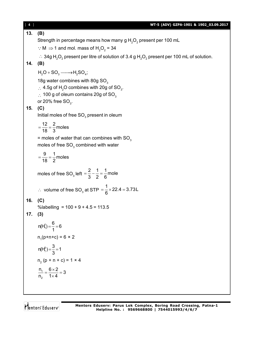| $[4]$ | WT-5 (ADV) GZPA-1901 & 1902_03.09.2017                                                                                                   |
|-------|------------------------------------------------------------------------------------------------------------------------------------------|
| 13.   | (B)                                                                                                                                      |
|       | Strength in percentage means how many g $H_2O_2$ present per 100 mL                                                                      |
|       | $\therefore$ M $\Rightarrow$ 1 and mol. mass of H <sub>2</sub> O <sub>2</sub> = 34                                                       |
|       | ∴ 34g H <sub>2</sub> O <sub>2</sub> present per litre of solution of 3.4 g H <sub>2</sub> O <sub>2</sub> present per 100 mL of solution. |
|       | 14. (B)                                                                                                                                  |
|       | $H_2O + SO_3 \longrightarrow H_2SO_4;$                                                                                                   |
|       | 18g water combines with 80g SO <sub>3</sub>                                                                                              |
|       | $\therefore$ 4.5g of H <sub>2</sub> O combines with 20g of SO <sub>3</sub> .                                                             |
|       | $\therefore$ 100 g of oleum contains 20g of SO <sub>3</sub><br>or 20% free $SO_3$ .                                                      |
| 15.   | (C)                                                                                                                                      |
|       | Initial moles of free $SO3$ present in oleum                                                                                             |
|       | $=\frac{12}{18}=\frac{2}{3}$ moles                                                                                                       |
|       |                                                                                                                                          |
|       | $=$ moles of water that can combines with SO <sub>3</sub><br>moles of free $SO3$ combined with water                                     |
|       | $=\frac{9}{18}=\frac{1}{2}$ moles                                                                                                        |
|       | moles of free SO <sub>3</sub> left = $\frac{2}{3} - \frac{1}{2} = \frac{1}{6}$ mole                                                      |
|       | ∴ volume of free SO <sub>3</sub> at STP = $\frac{1}{6}$ × 22.4 = 3.73L                                                                   |
| 16.   | (C)                                                                                                                                      |
|       | %labelling = $100 + 9 + 4.5 = 113.5$                                                                                                     |
| 17.   | (3)                                                                                                                                      |
|       | $n(H_1^1) = \frac{6}{1} = 6$                                                                                                             |
|       | $n_1$ (p+n+c) = 6 × 2                                                                                                                    |
|       | $n(H_1^3) = \frac{3}{3} = 1$                                                                                                             |
|       | $n_2 (p + n + c) = 1 \times 4$                                                                                                           |
|       | $\frac{n_1}{n_2} = \frac{6 \times 2}{1 \times 4} = 3$                                                                                    |
|       |                                                                                                                                          |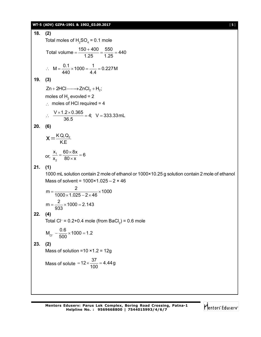#### **WT-5 (ADV) GZPA-1901 & 1902\_03.09.2017** [ **5** ]

18. (2)  
\nTotal moles of H<sub>2</sub>SO<sub>4</sub> = 0.1 mole  
\nTotal volume = 
$$
\frac{150 + 400}{1.25} = \frac{550}{1.25} = 440
$$
  
\n∴ M =  $\frac{0.1}{440} \times 1000 = \frac{1}{4.4} = 0.227M$   
\n19. (3)  
\nZn + 2HCl $\longrightarrow$  2nCl<sub>2</sub> + H<sub>2</sub>;  
\nmoles of H<sub>2</sub> evolved = 2  
\n∴ moles of HCl required = 4  
\n∴  $\frac{V \times 1.2 \times 0.365}{36.5} = 4$ ; V = 333.33 mL.  
\n20. (6)  
\n
$$
X = \frac{KQ_1Q_2}{KE}
$$
\nor,  $\frac{x}{x_2} = \frac{60 \times 8x}{80 \times x} = 6$   
\n21. (1)  
\n1000 mL solution contain 2 mole of ethanol or 1000×10.25 g solution contain 2 mole of ethanol  
\nMass of solvent = 1000×1.025 – 2 × 46  
\n $m = \frac{2}{1000 \times 1.025 - 2 \times 46} \times 1000$   
\n $m = \frac{2}{933} \times 1000 = 2.143$   
\n22. (4)  
\nTotal Cl = 0.2+0.4 mole (from BacC<sub>2</sub>) = 0.6 mole  
\n $M_{cr} - \frac{0.6}{500} \times 1000 = 1.2$   
\n23. (2)  
\nMass of solution = 10 × 1.2 = 12g  
\nMass of solution = 10 × 1.2 = 12g  
\nMass of solution = 10 × 1.2 = 12g  
\nMass of solute = 12 ×  $\frac{37}{100} = 4.44g$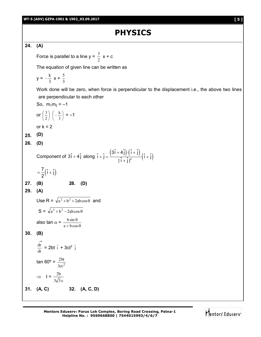## **PHYSICS**

#### **24. (A)**

Force is parallel to a line  $y = \frac{3}{2}$  $\frac{3}{2}$  x + c

The equation of given line can be written as

$$
y = -\frac{k}{3}x + \frac{5}{3}
$$

Work done will be zero, when force is perpendicular to the displacement i.e., the above two lines are perpendicular to each other

 $\frac{1}{2}$   $(1+1)$ 

 $^{+}$ 

So, 
$$
m_1m_2 = -1
$$
  
\nor  $\left(\frac{3}{2}\right)\left(-\frac{k}{3}\right) = -1$   
\nor k = 2  
\n25. (D)  
\n26. (D)  
\nComponent of  $3\hat{i} + 4\hat{j}$  along  $\hat{i} + \hat{j} = \frac{(3\hat{i} + 4\hat{j}) \cdot (\hat{i} + \hat{j})}{|\hat{i} + \hat{j}|^2} (\hat{i} + \hat{j})$   
\n $= \frac{7}{2}(\hat{i} + \hat{j})$   
\n27. (B)  
\n28. (D)  
\n29. (A)  
\nUse R =  $\sqrt{a^2 + b^2 + 2ab\cos\theta}$  and  
\nS =  $\sqrt{a^2 + b^2 - 2ab\cos\theta}$   
\nalso tan  $\alpha = \frac{bsin\theta}{a + b\cos\theta}$   
\n30. (B)  
\n $\frac{dr}{dt} = 2bt \hat{i} + 3ct^2 \hat{j}$   
\ntan 60° =  $\frac{2bt}{3ct^2}$   
\n $\Rightarrow t = \frac{2b}{3\sqrt{3}c}$   
\n31. (A, C)  
\n32. (A, C, D)

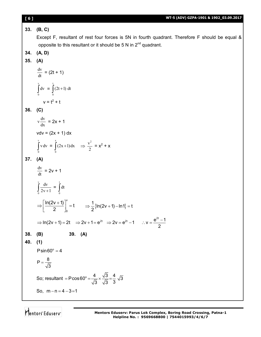#### **[ 6 ] WT-5 (ADV) GZPA-1901 & 1902\_03.09.2017 33. (B, C)** Except F, resultant of rest four forces is 5N in fourth quadrant. Therefore F should be equal & opposite to this resultant or it should be 5 N in  $2^{nd}$  quadrant. **34. (A, D) 35. (A)**  $\frac{dv}{dt} = (2t + 1)$ J v 0  $dv = \int (2t +$ t 0  $(2t+1)$  dt  $v = t^2 + t$ **36. (C)** dx  $v \frac{dv}{dt} = 2x + 1$  $vdv = (2x + 1) dx$ Ì v  $\int_{0}^{x} v dv = \int_{0}^{x} (2x +$ x  $\boldsymbol{0}$  $(2x+1)dx \Rightarrow \frac{1}{2}$  $\frac{v^2}{2} = x^2 + x$ **37. (A)**  $\frac{dv}{dt}$  = 2v + 1  $\int_{0}^{\infty} \frac{dv}{2v+}$ v  $\int_{0}^{1} 2v + 1$  $\frac{dv}{v+1} = \int$ t 0 dt v 0  $\frac{\ln(2v+1)}{2} \bigg|^{v} = t$ 2  $\Rightarrow \left[ \frac{\ln(2v+1)}{2} \right]_0^v = t \qquad \Rightarrow \frac{1}{2} \{ \ln(2v+1) - \ln 1 \} = t$ 2  $\Rightarrow$   $\frac{1}{6}$ {ln(2v + 1) – ln1} = t ⇒  $\ln(2v + 1) = 2t$  ⇒  $2v + 1 = e^{2t}$  ⇒  $2v = e^{2t} - 1$  ∴  $v = \frac{e^{2t} - 1}{2}$ 2  $\therefore$  v =  $\frac{e^{2t}-1}{2}$ **38. (B) 39. (A) 40. (1)**  $P \sin 60^\circ = 4$  $P = \frac{8}{6}$ 3  $=$

So; resultant = 
$$
P\cos 60^\circ = \frac{4}{\sqrt{3}} \times \frac{\sqrt{3}}{\sqrt{3}} = \frac{4}{3}\sqrt{3}
$$

So,  $m - n = 4 - 3 = 1$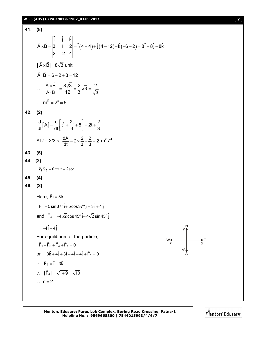#### **WT-5 (ADV) GZPA-1901 & 1902\_03.09.2017 [ 7 ]**

**41. (8)**  $(4+4)+j(4-12)+k(-6-2)$ ˆ ˆ ˆ i j k  $\vec{A} \times \vec{B} = |3 \quad 1 \quad 2| = \hat{i}(4+4) + \hat{j}(4-12) + \hat{k}(-6-2) = 8\hat{i} - 8\hat{j} - 8\hat{k}$ 2  $-2$  4  $\times$ B =  $\begin{vmatrix} 3 & 1 & 2 \end{vmatrix}$  = i  $(4+4)$  + j  $(4-12)$  + k  $(-6-2)$  = 8i - 8j - 8  $\overline{\phantom{a}}$  $\rightarrow$   $\rightarrow$ | A $\times$ B |= 8 $\sqrt{3}$  unit  $\rightarrow$  $A \cdot B = 6 - 2 + 8 = 12$  $\rightarrow$  $\frac{|A \times B|}{\sqrt{3}} = \frac{8\sqrt{3}}{12} = \frac{2}{3}\sqrt{3} = \frac{2}{\sqrt{3}}$  $\overline{A} \cdot \overline{B}$  12 3  $\sqrt{3}$  $\therefore \frac{|A \times B|}{|\vec{a}|\vec{B}|} = \frac{8\sqrt{3}}{40} = \frac{2}{3}\sqrt{3} = -$ .  $\rightarrow$  $\frac{1}{2}$  $\therefore m^{n} = 2^{3} = 8$ **42. (2)**  $\frac{d}{dt}[A] = \frac{d}{dt}\left[t^2 + \frac{2t}{2} + 5\right] = 2t + \frac{2}{3}$ dt<sup>L 1</sup> dt  $3 \t3 \t3$  $=\frac{d}{dt}\left[t^2+\frac{2t}{3}+5\right]=2t+\frac{2t}{3}$ At  $t = 2/3$  s,  $\frac{dA}{dt} = 2 \times \frac{2}{3} + \frac{2}{3} = 2$ dt 3 3  $= 2 \times \frac{2}{2} + \frac{2}{3} = 2$  m<sup>2</sup>s<sup>-1</sup>. **43. (5) 44. (2)**  $\vec{v}_1 \cdot \vec{v}_2 = 0 \implies t = 2 \sec$ **45. (4) 46. (2)** Here,  $\vec{F}_1 = 3\hat{k}$  $\vec{F}_2 = 5 \sin 37^\circ \hat{i} + 5 \cos 37^\circ \hat{j} = 3 \hat{i} + 4 \hat{j}$ and  $\vec{F}_3 = -4\sqrt{2} \cos 45^\circ \hat{i} - 4\sqrt{2} \sin 45^\circ \hat{j}$  $=-4\hat{i}-4\hat{j}$ For equilibrium of the particle,  $F_1 + F_2 + F_3 + F_4 = 0$  or  $3\hat{k} + 4\hat{j} + 3\hat{i} - 4\hat{j} - 4\hat{j} + \vec{F}_4 = 0$  $\therefore$   $\vec{F}_4 = \hat{i} - 3\hat{k}$  $\therefore$  | F<sub>4</sub> | =  $\sqrt{1+9}$  =  $\sqrt{10}$  $\rightarrow$  $\therefore$  n = 2

S  $W \leftarrow \rightarrow E$ <br> $X'$   $X$ x' y' y

N

**Mentors Eduserv: Parus Lok Complex, Boring Road Crossing, Patna-1 Helpline No. : 9569668800 | 7544015993/4/6/7**

Mentors Eduserv<sup>®</sup>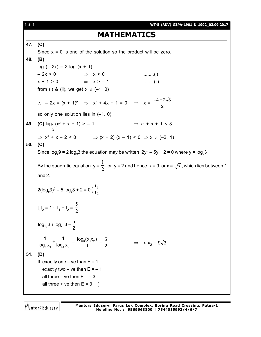[ **8** ] **WT-5 (ADV) GZPA-1901 & 1902\_03.09.2017 MATHEMATICS 47. (C)** Since  $x = 0$  is one of the solution so the product will be zero. **48. (B)**  $log (-2x) = 2 log (x + 1)$  $-2x > 0$   $\Rightarrow x < 0$  ........(i)  $x + 1 > 0$   $\Rightarrow x > -1$  ........(ii) from (i) & (ii), we get  $x \in (-1, 0)$  $\therefore$  - 2x = (x + 1)<sup>2</sup>  $\Rightarrow$  x<sup>2</sup> + 4x + 1 = 0  $\Rightarrow$  x =  $\frac{-4 \pm 2\sqrt{3}}{2}$ 2 so only one solution lies in  $(-1, 0)$ **49. (C)** <sup>1</sup> 3 log $_1$  (x $^2$  $+ x + 1$  > - 1  $\Rightarrow$  x<sup>2</sup> + x + 1 < 3  $\Rightarrow$  x<sup>2</sup> + x - 2 < 0  $\Rightarrow$  (x + 2) (x - 1) < 0  $\Rightarrow$  x  $\in$  (-2, 1) **50. (C)** Since  $\log_{x} 9 = 2 \log_{x} 3$  the equation may be written  $2y^{2} - 5y + 2 = 0$  where  $y = \log_{x} 3$ By the quadratic equation  $y = \frac{1}{2}$ 1 or  $y = 2$  and hence  $x = 9$  or  $x = \sqrt{3}$ , which lies between 1 and 2.  $2(log_x 3)^2 - 5 log_x 3 + 2 = 0$ 2 1 t t  $t_1t_2 = 1$ ;  $t_1 + t_2 = \frac{1}{2}$ 5 1 2 x x  $log_{x_2} 3 + log_{x_2} 3 = \frac{5}{6}$ 2 +  $log_{x_{0}} 3 =$  $3 \lambda_1$   $1 \lambda_3 \lambda_2$ 1 1  $\frac{1}{\log_3 x_1} + \frac{1}{\log_3 x_2} = \frac{\log_3(x_1x_2)}{1} =$ 5 2  $\Rightarrow$   $x_1x_2 = 9\sqrt{3}$ **51. (D)** If exactly one – ve than  $E = 1$ exactly two – ve then  $E = -1$ all three – ve then  $E = -3$ all three  $+$  ve then  $E = 3$  ]

Mentors Eduserv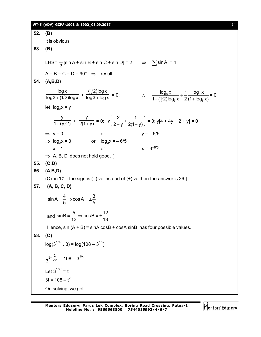#### **WT-5 (ADV) GZPA-1901 & 1902\_03.09.2017** [ **9** ]

**52. (B)** It is obvious **53. (B)** LHS=  $\frac{1}{2}$  $\frac{1}{2}$  [sin A + sin B + sin C + sin D] = 2  $\Rightarrow$   $\sum$  sin A = 4  $A = B = C = D = 90^{\circ} \Rightarrow$  result **54. (A,B,D)** logx  $\frac{1}{\log 3 + (1/2)\log x}$  + (1/2) $\log x$  $\frac{1}{\log 3 + \log x} = 0;$   $\therefore$   $\frac{\log_3 x}{1 + (1/2)\log_2 x} + \frac{1}{2} \frac{\log_3 x}{(1 + \log_3 x)}$  $3^{\prime\prime}$   $\sim$   $(11093)$  $\log_3 x$  1  $\log_3 x$  $1 + (1/2) \log_3 x$  2 (1 +  $\log_3 x$ )  $^{+}$  $+$  (1/2)log $_3$  x  $-$  2 (1+1 = 0 let  $log_3 x = y$ y  $\frac{1}{1+(y/2)}$  + y  $\frac{y}{2(1+y)} = 0;$  $y\left(\frac{2}{2} + \frac{1}{2} \right)$  $\left(\frac{2}{2+y}+\frac{1}{2(1+y)}\right)=0$ ; y[4 + 4y + 2 + y] = 0  $\Rightarrow$  y = 0 or y = – 6/5  $\Rightarrow$  log<sub>3</sub>x = 0 or log<sub>3</sub>x = – 6/5  $x = 1$  or  $x = 3^{-6/5}$  $\Rightarrow$  A, B, D does not hold good. ] **55. (C,D) 56. (A,B,D)** (C) in 'C' if the sign is  $(-)$  ve instead of  $(+)$  ve then the answer is 26 ] **57. (A, B, C, D)**  $\sin A = \frac{4}{5} \Rightarrow \cos A = \pm \frac{3}{5}$  $5^{6}$  5  $=$   $\Rightarrow$   $\cos A = \pm \frac{1}{2}$ and  $sinB = \frac{5}{12} \Rightarrow cosB = \pm \frac{12}{12}$  $13$   $-13$  $=\frac{6}{10} \Rightarrow \cosh = \pm \frac{1}{2}$ Hence,  $sin (A + B) = sinA cosB + cosA sinB$  has four possible values. **58. (C)**  $log(3^{1/2x} \cdot 3) = log(108 - 3^{1/x})$ 2x  $3^{1+\frac{1}{2x}} = 108 - 3^{1/x}$ Let  $3^{1/2x} = t$  $3t = 108 - t^2$ On solving, we get

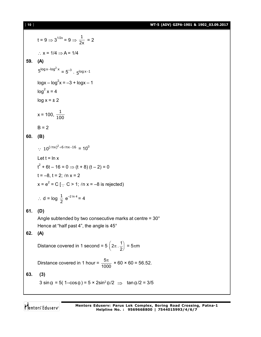[ **10** ] **WT-5 (ADV) GZPA-1901 & 1902\_03.09.2017**

t = 9 
$$
\Rightarrow
$$
 3<sup>1/2x</sup> = 9  $\Rightarrow \frac{1}{2x} = 2$   
\n $\therefore x = 1/4 \Rightarrow A = 1/4$   
\n59. (A)  
\n $5^{\log x - \log^2 x} = 5^{-3} \cdot 5^{\log x - 1}$   
\n $\log x - \log^2 x = -3 + \log x - 1$   
\n $\log^2 x = 4$   
\n $\log x = \pm 2$   
\n $x = 100, \frac{1}{100}$   
\nB = 2  
\n60. (B)  
\n $\therefore 10^{(\ln x)^2 + 6 \ln x - 16} = 10^0$   
\nLet t = ln x  
\nt<sup>2</sup> + 6t - 16 = 0  $\Rightarrow$  (t + 8) (t - 2) = 0  
\nt = -8, t = 2; ln x = 2  
\n $x = e^2 = C [\because C > 1; ln x = -8 \text{ is rejected}]$   
\n $\therefore d = \log \frac{1}{2} e^{-2 \ln 4} = 4$   
\n61. (D)  
\nAngle subtended by two consecutive matrix

Angle subtended by two consecutive marks at centre = 30° Hence at "half past 4", the angle is 45°

### **62. (A)**

Distance covered in 1 second =  $5\left(2\pi\right)\cdot\frac{1}{2}$ 2  $\left(2\pi \cdot \frac{1}{2}\right) = 5\pi m$ 

Dirstance covered in 1 hour =  $\frac{5}{10}$ 1000  $\frac{\pi}{20}$  × 60 × 60 = 56.52.

**63. (3)**

 $3 \sin \theta = 5(1-\cos \theta) = 5 \times 2\sin^2 \theta/2 \implies \tan \theta/2 = 3/5$ 

Mentors Eduserv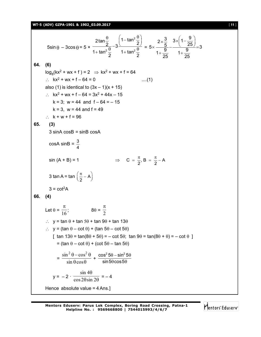#### **WT-5 (ADV) GZPA-1901 & 1902\_03.09.2017** [ **11** ]

5sin θ – 3cos θ = 5 × 
$$
\frac{2tan\frac{θ}{2}}{1 + tan^2\frac{θ}{2}} - 3\frac{(1 - tan^2\frac{θ}{2})}{1 + tan^2\frac{θ}{2}} = 5 \times \frac{2 \times \frac{3}{5}}{1 + \frac{9}{25}} - \frac{3 \times (1 - \frac{9}{25})}{1 + \frac{9}{25}} = 3
$$
  
\n64. (6)  
\n $log_8(kx^2 + wx + f) = 2$  ⇒  $kx^2 + wx + f = 64$   
\n∴  $kx^2 + wx + f - 64 = 0$  ....(1)  
\nalso (1) is identical to  $(3x - 1)(x + 15)$   
\n∴  $kx^2 + wx + f - 64 = 3x^2 + 44x - 15$   
\n $k = 3$ ;  $w = 44$  and  $f = 64 = -15$   
\n $k = 3$ ,  $w = 44$  and  $f = 49$   
\n∴  $k + w + f = 96$   
\n65. (3)  
\n3 sin A cosB = sinB cosA  
\ncosA sinB =  $\frac{3}{4}$   
\nsin (A + B) = 1  $\Rightarrow C = \frac{\pi}{2}$ , B =  $\frac{\pi}{2} - A$   
\n3 tan A = tan  $(\frac{\pi}{2} - A)$   
\n3 = cot<sup>2</sup>A  
\n66. (4)  
\nLet  $\theta = \frac{\pi}{16}$ ;  $8\theta = \frac{\pi}{2}$   
\n∴  $y = tan \theta + tan 5\theta + tan \theta\theta + tan 13\theta$   
\n∴  $y = (tan \theta - cot \theta) + (tan 5\theta - cot 5\theta)$   
\n[tan 13θ = tan(8θ + 5θ) = -cot 5θ; tan 9θ = tan(8θ + θ) = - cot θ ]  
\n= (tan θ - cot θ) + (cot 5θ - tan 5θ)  
\n $= \frac{sin^2 θ - cos^2 θ}{sin θ cos θ + sin 5θ cos 5θ}$   
\n $y = -2 \cdot \frac{sin 4θ}{cos 2θ sin 2θ} = -4$   
\nHence absolute value = 4 Ans.]